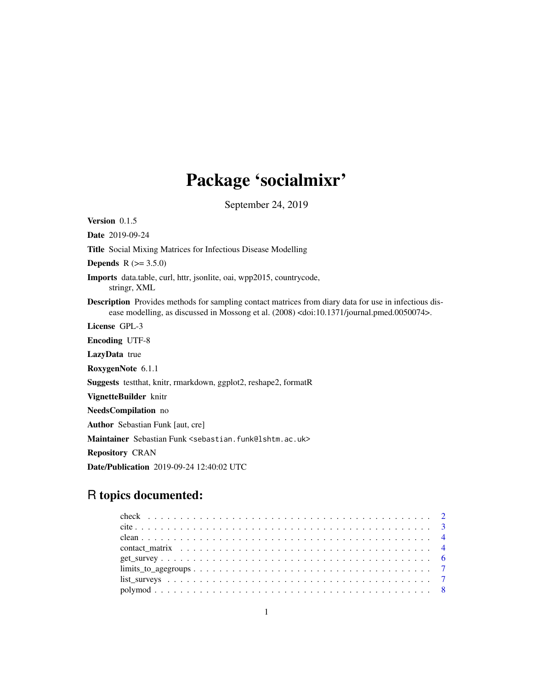# Package 'socialmixr'

September 24, 2019

Version 0.1.5 Date 2019-09-24 Title Social Mixing Matrices for Infectious Disease Modelling **Depends** R  $(>= 3.5.0)$ Imports data.table, curl, httr, jsonlite, oai, wpp2015, countrycode, stringr, XML Description Provides methods for sampling contact matrices from diary data for use in infectious disease modelling, as discussed in Mossong et al. (2008) <doi:10.1371/journal.pmed.0050074>. License GPL-3 Encoding UTF-8 LazyData true RoxygenNote 6.1.1 Suggests testthat, knitr, rmarkdown, ggplot2, reshape2, formatR VignetteBuilder knitr NeedsCompilation no Author Sebastian Funk [aut, cre] Maintainer Sebastian Funk <sebastian.funk@lshtm.ac.uk> Repository CRAN Date/Publication 2019-09-24 12:40:02 UTC

# R topics documented: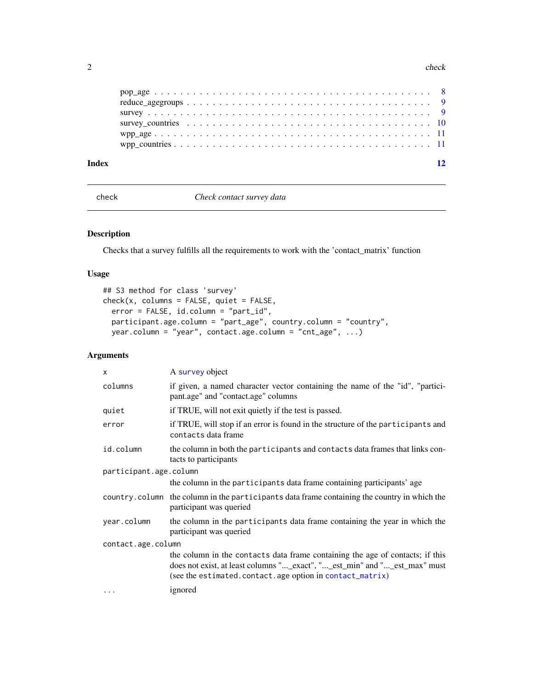### <span id="page-1-0"></span>2 check and the check of the check of the check of the check of the check of the check of the check

| Index | 12 |
|-------|----|
|       |    |
|       |    |
|       |    |
|       |    |
|       |    |

check *Check contact survey data*

# Description

Checks that a survey fulfills all the requirements to work with the 'contact\_matrix' function

# Usage

```
## S3 method for class 'survey'
check(x, columns = FALSE, quiet = FALSE,error = FALSE, id.column = "part_id",
 participant.age.column = "part_age", country.column = "country",
 year.column = "year", contact.age.column = "cnt_age", ...)
```

| x                      | A survey object                                                                                                                                                                                                        |  |
|------------------------|------------------------------------------------------------------------------------------------------------------------------------------------------------------------------------------------------------------------|--|
| columns                | if given, a named character vector containing the name of the "id", "partici-<br>pant.age" and "contact.age" columns                                                                                                   |  |
| quiet                  | if TRUE, will not exit quietly if the test is passed.                                                                                                                                                                  |  |
| error                  | if TRUE, will stop if an error is found in the structure of the participants and<br>contacts data frame                                                                                                                |  |
| id.column              | the column in both the participants and contacts data frames that links con-<br>tacts to participants                                                                                                                  |  |
| participant.age.column |                                                                                                                                                                                                                        |  |
|                        | the column in the participants data frame containing participants' age                                                                                                                                                 |  |
|                        | country. column the column in the participants data frame containing the country in which the<br>participant was queried                                                                                               |  |
| year.column            | the column in the participants data frame containing the year in which the<br>participant was queried                                                                                                                  |  |
| contact.age.column     |                                                                                                                                                                                                                        |  |
|                        | the column in the contacts data frame containing the age of contacts; if this<br>does not exist, at least columns "_exact", "_est_min" and "_est_max" must<br>(see the estimated.contact.age option in contact_matrix) |  |
| $\cdots$               | ignored                                                                                                                                                                                                                |  |
|                        |                                                                                                                                                                                                                        |  |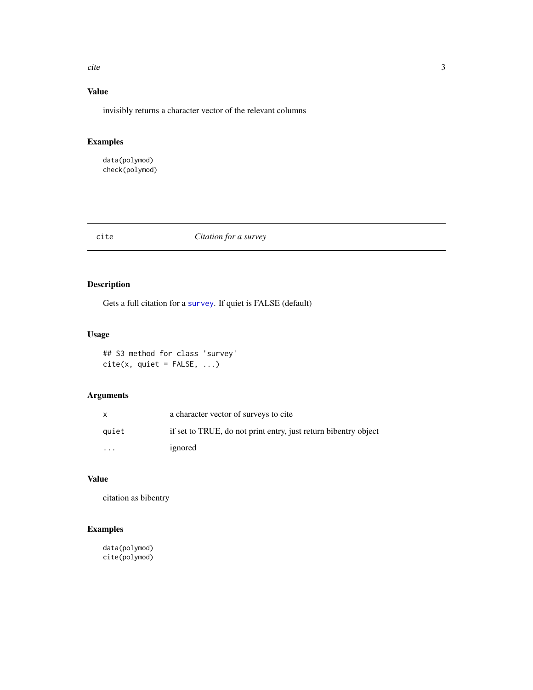<span id="page-2-0"></span>cite 3

# Value

invisibly returns a character vector of the relevant columns

# Examples

data(polymod) check(polymod)

# cite *Citation for a survey*

# Description

Gets a full citation for a [survey](#page-8-1). If quiet is FALSE (default)

# Usage

## S3 method for class 'survey'  $cite(x, quiet = FALSE, ...)$ 

# Arguments

|          | a character vector of surveys to cite                           |
|----------|-----------------------------------------------------------------|
| quiet    | if set to TRUE, do not print entry, just return bibentry object |
| $\cdots$ | ignored                                                         |

# Value

citation as bibentry

# Examples

data(polymod) cite(polymod)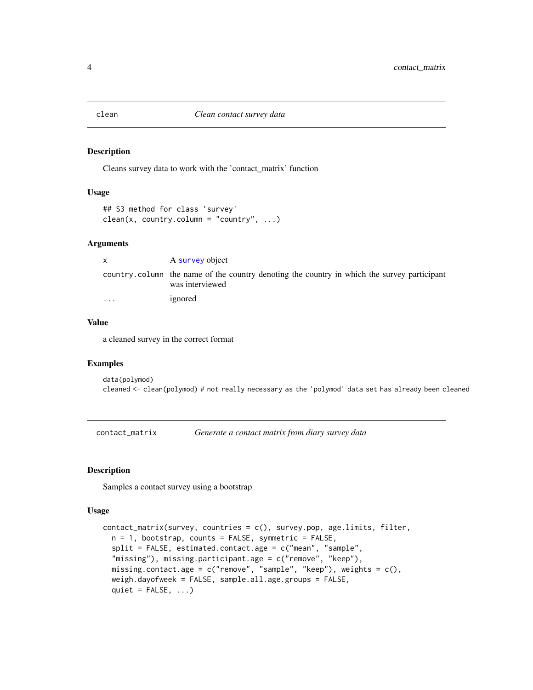<span id="page-3-2"></span><span id="page-3-0"></span>

### Description

Cleans survey data to work with the 'contact\_matrix' function

# Usage

```
## S3 method for class 'survey'
clean(x, country.colum = "country", ...)
```
### Arguments

| $\mathsf{X}$            | A survey object                                                                                                |
|-------------------------|----------------------------------------------------------------------------------------------------------------|
|                         | country column the name of the country denoting the country in which the survey participant<br>was interviewed |
| $\cdot$ $\cdot$ $\cdot$ | ignored                                                                                                        |

## Value

a cleaned survey in the correct format

### Examples

data(polymod) cleaned <- clean(polymod) # not really necessary as the 'polymod' data set has already been cleaned

<span id="page-3-1"></span>contact\_matrix *Generate a contact matrix from diary survey data*

# Description

Samples a contact survey using a bootstrap

### Usage

```
contact_matrix(survey, countries = c(), survey.pop, age.limits, filter,
  n = 1, bootstrap, counts = FALSE, symmetric = FALSE,
  split = FALSE, estimated.contact.age = c("mean", "sample",
  "missing"), missing.participant.age = c("remove", "keep"),
 missing.contact.age = c("remove", "sample", "keep"), weights = c(),
 weigh.dayofweek = FALSE, sample.all.age.groups = FALSE,
  quiet = FALSE, ...)
```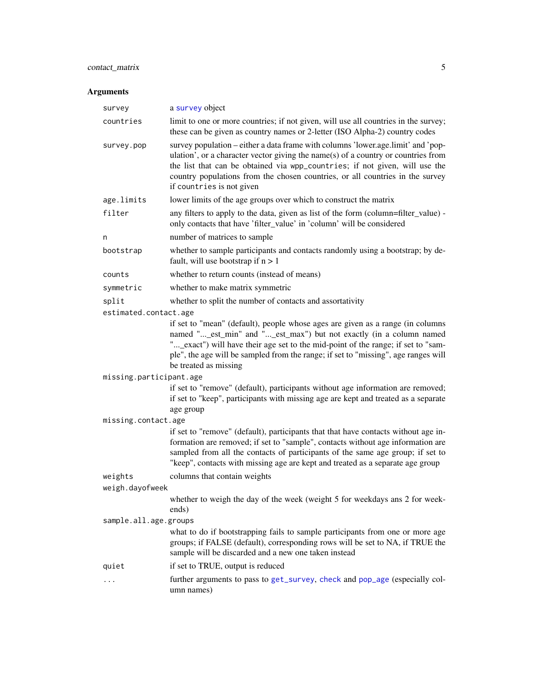# <span id="page-4-0"></span>contact\_matrix 5

| survey                  | a survey object                                                                                                                                                                                                                                                                                                                                                    |  |
|-------------------------|--------------------------------------------------------------------------------------------------------------------------------------------------------------------------------------------------------------------------------------------------------------------------------------------------------------------------------------------------------------------|--|
| countries               | limit to one or more countries; if not given, will use all countries in the survey;<br>these can be given as country names or 2-letter (ISO Alpha-2) country codes                                                                                                                                                                                                 |  |
| survey.pop              | survey population – either a data frame with columns 'lower.age.limit' and 'pop-<br>ulation', or a character vector giving the name(s) of a country or countries from<br>the list that can be obtained via wpp_countries; if not given, will use the<br>country populations from the chosen countries, or all countries in the survey<br>if countries is not given |  |
| age.limits              | lower limits of the age groups over which to construct the matrix                                                                                                                                                                                                                                                                                                  |  |
| filter                  | any filters to apply to the data, given as list of the form (column=filter_value) -<br>only contacts that have 'filter_value' in 'column' will be considered                                                                                                                                                                                                       |  |
| n                       | number of matrices to sample                                                                                                                                                                                                                                                                                                                                       |  |
| bootstrap               | whether to sample participants and contacts randomly using a bootstrap; by de-<br>fault, will use bootstrap if $n > 1$                                                                                                                                                                                                                                             |  |
| counts                  | whether to return counts (instead of means)                                                                                                                                                                                                                                                                                                                        |  |
| symmetric               | whether to make matrix symmetric                                                                                                                                                                                                                                                                                                                                   |  |
| split                   | whether to split the number of contacts and assortativity                                                                                                                                                                                                                                                                                                          |  |
| estimated.contact.age   |                                                                                                                                                                                                                                                                                                                                                                    |  |
|                         | if set to "mean" (default), people whose ages are given as a range (in columns<br>named "_est_min" and "_est_max") but not exactly (in a column named<br>"_exact") will have their age set to the mid-point of the range; if set to "sam-<br>ple", the age will be sampled from the range; if set to "missing", age ranges will<br>be treated as missing           |  |
| missing.participant.age |                                                                                                                                                                                                                                                                                                                                                                    |  |
|                         | if set to "remove" (default), participants without age information are removed;<br>if set to "keep", participants with missing age are kept and treated as a separate<br>age group                                                                                                                                                                                 |  |
| missing.contact.age     |                                                                                                                                                                                                                                                                                                                                                                    |  |
|                         | if set to "remove" (default), participants that that have contacts without age in-<br>formation are removed; if set to "sample", contacts without age information are<br>sampled from all the contacts of participants of the same age group; if set to<br>"keep", contacts with missing age are kept and treated as a separate age group                          |  |
| weights                 | columns that contain weights                                                                                                                                                                                                                                                                                                                                       |  |
| weigh.dayofweek         |                                                                                                                                                                                                                                                                                                                                                                    |  |
|                         | whether to weigh the day of the week (weight 5 for weekdays ans 2 for week-<br>ends)                                                                                                                                                                                                                                                                               |  |
| sample.all.age.groups   |                                                                                                                                                                                                                                                                                                                                                                    |  |
|                         | what to do if bootstrapping fails to sample participants from one or more age<br>groups; if FALSE (default), corresponding rows will be set to NA, if TRUE the<br>sample will be discarded and a new one taken instead                                                                                                                                             |  |
| quiet                   | if set to TRUE, output is reduced                                                                                                                                                                                                                                                                                                                                  |  |
|                         | further arguments to pass to get_survey, check and pop_age (especially col-<br>umn names)                                                                                                                                                                                                                                                                          |  |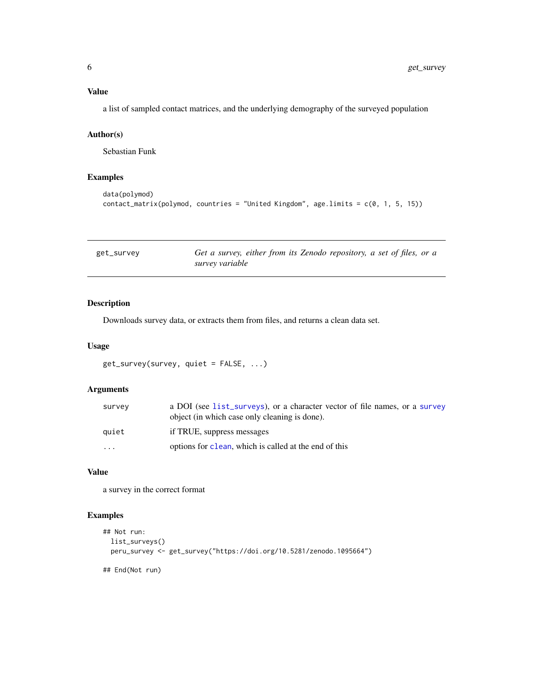# <span id="page-5-0"></span>Value

a list of sampled contact matrices, and the underlying demography of the surveyed population

# Author(s)

Sebastian Funk

### Examples

```
data(polymod)
contact_matrix(polymod, countries = "United Kingdom", age.limits = c(0, 1, 5, 15))
```
<span id="page-5-1"></span>

| get_survey | Get a survey, either from its Zenodo repository, a set of files, or a |
|------------|-----------------------------------------------------------------------|
|            | survey variable                                                       |

# Description

Downloads survey data, or extracts them from files, and returns a clean data set.

### Usage

```
get_survey(survey, quiet = FALSE, ...)
```
### Arguments

| survey    | a DOI (see list_surveys), or a character vector of file names, or a survey<br>object (in which case only cleaning is done). |
|-----------|-----------------------------------------------------------------------------------------------------------------------------|
| auiet     | if TRUE, suppress messages                                                                                                  |
| $\ddotsc$ | options for clean, which is called at the end of this                                                                       |

### Value

a survey in the correct format

# Examples

```
## Not run:
 list_surveys()
 peru_survey <- get_survey("https://doi.org/10.5281/zenodo.1095664")
## End(Not run)
```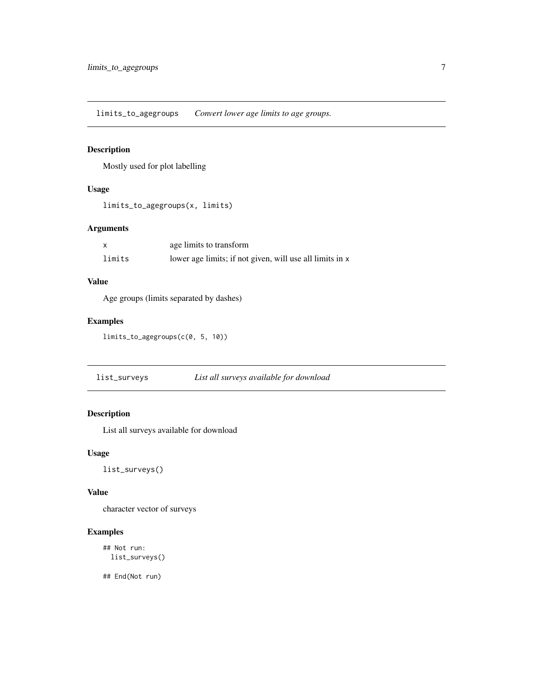<span id="page-6-0"></span>limits\_to\_agegroups *Convert lower age limits to age groups.*

# Description

Mostly used for plot labelling

# Usage

```
limits_to_agegroups(x, limits)
```
# Arguments

|        | age limits to transform                                  |
|--------|----------------------------------------------------------|
| limits | lower age limits; if not given, will use all limits in x |

# Value

Age groups (limits separated by dashes)

# Examples

```
limits_to_agegroups(c(0, 5, 10))
```
<span id="page-6-1"></span>list\_surveys *List all surveys available for download*

# Description

List all surveys available for download

### Usage

list\_surveys()

### Value

character vector of surveys

# Examples

```
## Not run:
  list_surveys()
```
## End(Not run)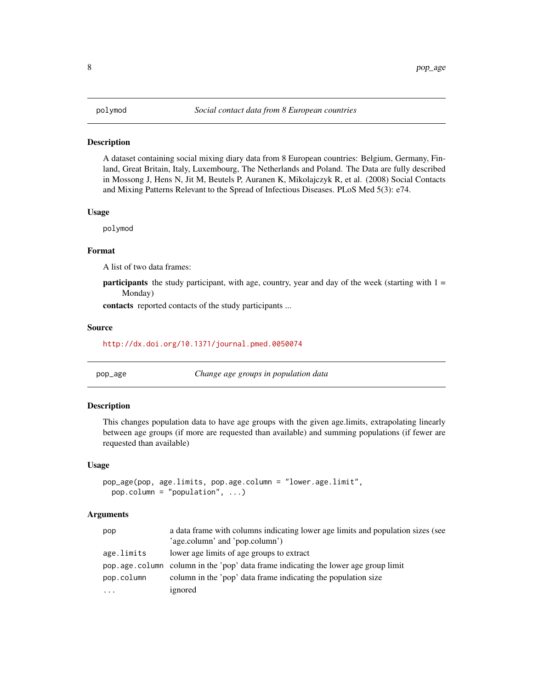### <span id="page-7-0"></span>**Description**

A dataset containing social mixing diary data from 8 European countries: Belgium, Germany, Finland, Great Britain, Italy, Luxembourg, The Netherlands and Poland. The Data are fully described in Mossong J, Hens N, Jit M, Beutels P, Auranen K, Mikolajczyk R, et al. (2008) Social Contacts and Mixing Patterns Relevant to the Spread of Infectious Diseases. PLoS Med 5(3): e74.

### Usage

polymod

### Format

A list of two data frames:

**participants** the study participant, with age, country, year and day of the week (starting with  $1 =$ Monday)

contacts reported contacts of the study participants ...

### Source

<http://dx.doi.org/10.1371/journal.pmed.0050074>

<span id="page-7-1"></span>

| pop_age | Change age groups in population data |
|---------|--------------------------------------|
|---------|--------------------------------------|

### Description

This changes population data to have age groups with the given age.limits, extrapolating linearly between age groups (if more are requested than available) and summing populations (if fewer are requested than available)

### Usage

```
pop_age(pop, age.limits, pop.age.column = "lower.age.limit",
 pop.column = "population", ...)
```

| pop        | a data frame with columns indicating lower age limits and population sizes (see     |  |
|------------|-------------------------------------------------------------------------------------|--|
|            | 'age.column' and 'pop.column')                                                      |  |
| age.limits | lower age limits of age groups to extract                                           |  |
|            | pop age. column column in the 'pop' data frame indicating the lower age group limit |  |
| pop.column | column in the 'pop' data frame indicating the population size                       |  |
| $\cdots$   | ignored                                                                             |  |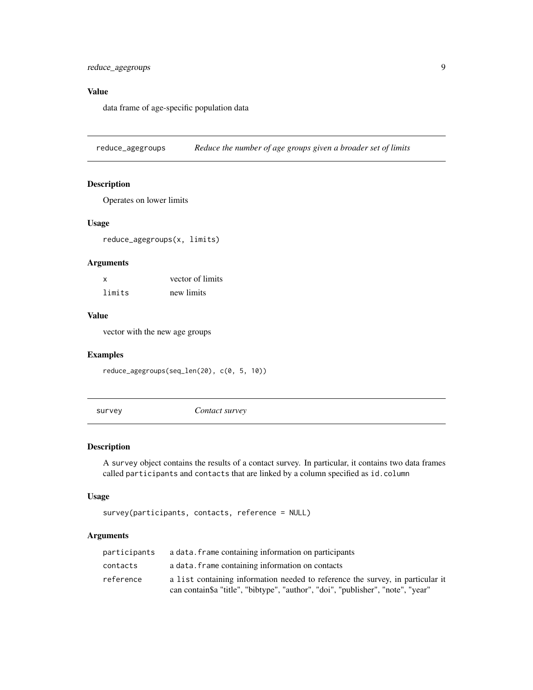# <span id="page-8-0"></span>Value

data frame of age-specific population data

reduce\_agegroups *Reduce the number of age groups given a broader set of limits*

### Description

Operates on lower limits

### Usage

reduce\_agegroups(x, limits)

### Arguments

| x      | vector of limits |
|--------|------------------|
| limits | new limits       |

# Value

vector with the new age groups

### Examples

reduce\_agegroups(seq\_len(20), c(0, 5, 10))

<span id="page-8-1"></span>survey *Contact survey*

### Description

A survey object contains the results of a contact survey. In particular, it contains two data frames called participants and contacts that are linked by a column specified as id.column

### Usage

```
survey(participants, contacts, reference = NULL)
```

| participants | a data. Frame containing information on participants                                                                                                              |
|--------------|-------------------------------------------------------------------------------------------------------------------------------------------------------------------|
| contacts     | a data. Frame containing information on contacts                                                                                                                  |
| reference    | a list containing information needed to reference the survey, in particular it<br>can contain\$a "title", "bibtype", "author", "doi", "publisher", "note", "year" |
|              |                                                                                                                                                                   |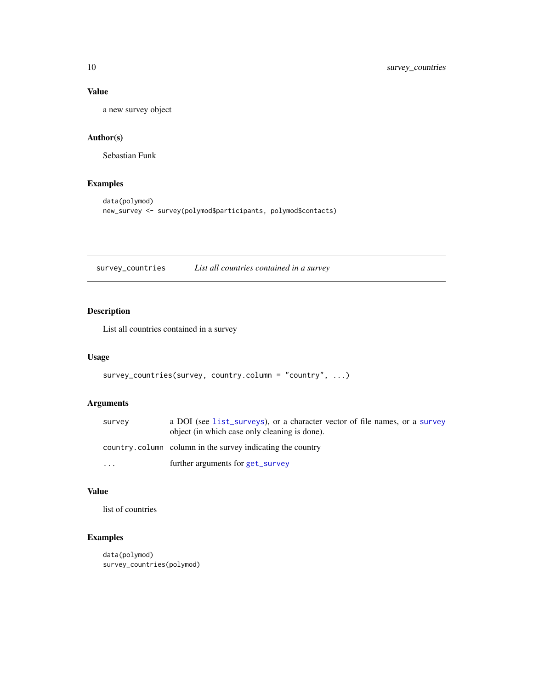# Value

a new survey object

## Author(s)

Sebastian Funk

# Examples

```
data(polymod)
new_survey <- survey(polymod$participants, polymod$contacts)
```
survey\_countries *List all countries contained in a survey*

# Description

List all countries contained in a survey

# Usage

```
survey_countries(survey, country.column = "country", ...)
```
# Arguments

| survey   | a DOI (see list_surveys), or a character vector of file names, or a survey<br>object (in which case only cleaning is done). |
|----------|-----------------------------------------------------------------------------------------------------------------------------|
|          | country.column column in the survey indicating the country                                                                  |
| $\cdots$ | further arguments for get_survey                                                                                            |

# Value

list of countries

# Examples

```
data(polymod)
survey_countries(polymod)
```
<span id="page-9-0"></span>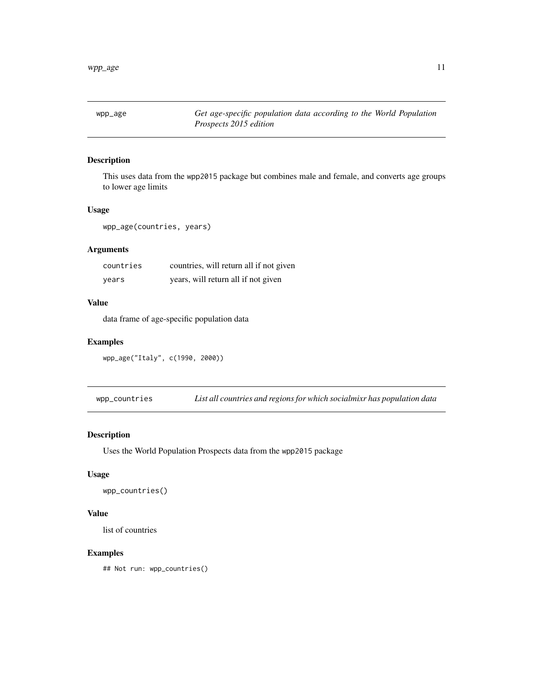<span id="page-10-0"></span>

### Description

This uses data from the wpp2015 package but combines male and female, and converts age groups to lower age limits

### Usage

wpp\_age(countries, years)

# Arguments

| countries | countries, will return all if not given |
|-----------|-----------------------------------------|
| vears     | years, will return all if not given     |

# Value

data frame of age-specific population data

### Examples

```
wpp_age("Italy", c(1990, 2000))
```
wpp\_countries *List all countries and regions for which socialmixr has population data*

### Description

Uses the World Population Prospects data from the wpp2015 package

# Usage

```
wpp_countries()
```
# Value

list of countries

# Examples

## Not run: wpp\_countries()